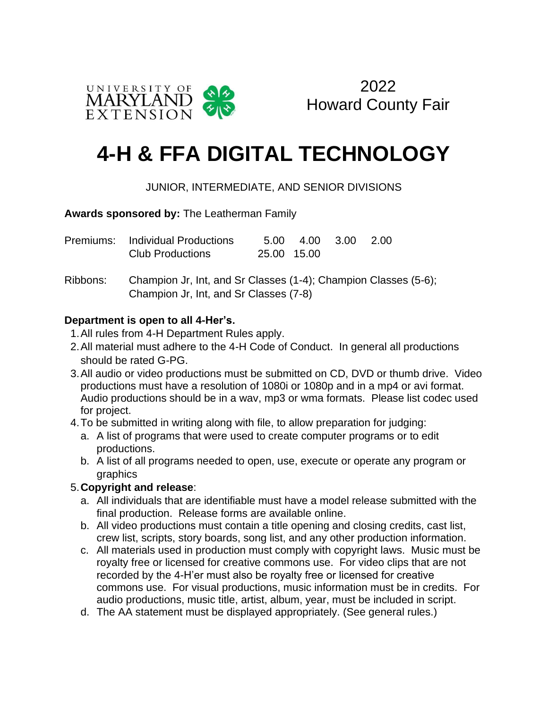



# **4-H & FFA DIGITAL TECHNOLOGY**

## JUNIOR, INTERMEDIATE, AND SENIOR DIVISIONS

#### **Awards sponsored by:** The Leatherman Family

| Premiums: Individual Productions |             | 5.00 4.00 3.00 2.00 |  |
|----------------------------------|-------------|---------------------|--|
| <b>Club Productions</b>          | 25.00 15.00 |                     |  |

Ribbons: Champion Jr, Int, and Sr Classes (1-4); Champion Classes (5-6); Champion Jr, Int, and Sr Classes (7-8)

#### **Department is open to all 4-Her's.**

- 1.All rules from 4-H Department Rules apply.
- 2.All material must adhere to the 4-H Code of Conduct. In general all productions should be rated G-PG.
- 3.All audio or video productions must be submitted on CD, DVD or thumb drive. Video productions must have a resolution of 1080i or 1080p and in a mp4 or avi format. Audio productions should be in a wav, mp3 or wma formats. Please list codec used for project.
- 4.To be submitted in writing along with file, to allow preparation for judging:
	- a. A list of programs that were used to create computer programs or to edit productions.
	- b. A list of all programs needed to open, use, execute or operate any program or graphics

#### 5.**Copyright and release**:

- a. All individuals that are identifiable must have a model release submitted with the final production. Release forms are available online.
- b. All video productions must contain a title opening and closing credits, cast list, crew list, scripts, story boards, song list, and any other production information.
- c. All materials used in production must comply with copyright laws. Music must be royalty free or licensed for creative commons use. For video clips that are not recorded by the 4-H'er must also be royalty free or licensed for creative commons use. For visual productions, music information must be in credits. For audio productions, music title, artist, album, year, must be included in script.
- d. The AA statement must be displayed appropriately. (See general rules.)